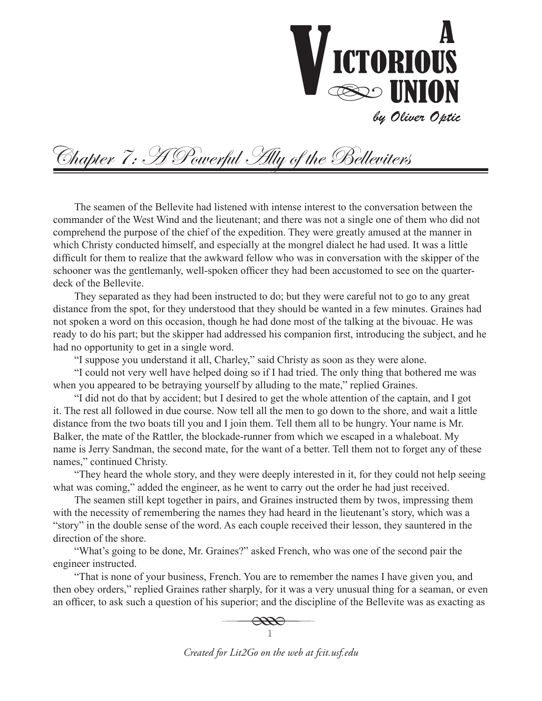

Chapter 7: A Powerful Ally of the Belleviters

The seamen of the Bellevite had listened with intense interest to the conversation between the commander of the West Wind and the lieutenant; and there was not a single one of them who did not comprehend the purpose of the chief of the expedition. They were greatly amused at the manner in which Christy conducted himself, and especially at the mongrel dialect he had used. It was a little difficult for them to realize that the awkward fellow who was in conversation with the skipper of the schooner was the gentlemanly, well-spoken officer they had been accustomed to see on the quarterdeck of the Bellevite.

They separated as they had been instructed to do; but they were careful not to go to any great distance from the spot, for they understood that they should be wanted in a few minutes. Graines had not spoken a word on this occasion, though he had done most of the talking at the bivouac. He was ready to do his part; but the skipper had addressed his companion first, introducing the subject, and he had no opportunity to get in a single word.

"I suppose you understand it all, Charley," said Christy as soon as they were alone.

"I could not very well have helped doing so if I had tried. The only thing that bothered me was when you appeared to be betraying yourself by alluding to the mate," replied Graines.

"I did not do that by accident; but I desired to get the whole attention of the captain, and I got it. The rest all followed in due course. Now tell all the men to go down to the shore, and wait a little distance from the two boats till you and I join them. Tell them all to be hungry. Your name is Mr. Balker, the mate of the Rattler, the blockade-runner from which we escaped in a whaleboat. My name is Jerry Sandman, the second mate, for the want of a better. Tell them not to forget any of these names," continued Christy.

"They heard the whole story, and they were deeply interested in it, for they could not help seeing what was coming," added the engineer, as he went to carry out the order he had just received.

The seamen still kept together in pairs, and Graines instructed them by twos, impressing them with the necessity of remembering the names they had heard in the lieutenant's story, which was a "story" in the double sense of the word. As each couple received their lesson, they sauntered in the direction of the shore.

"What's going to be done, Mr. Graines?" asked French, who was one of the second pair the engineer instructed.

"That is none of your business, French. You are to remember the names I have given you, and then obey orders," replied Graines rather sharply, for it was a very unusual thing for a seaman, or even an officer, to ask such a question of his superior; and the discipline of the Bellevite was as exacting as



*Created for Lit2Go on the web at fcit.usf.edu*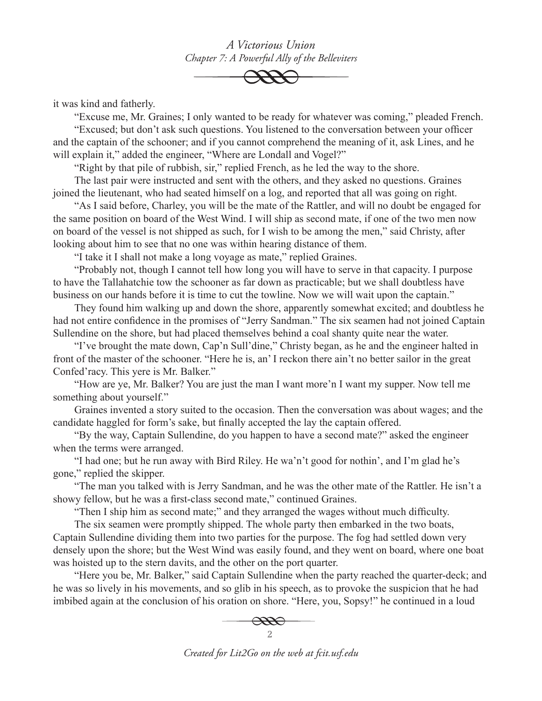*A Victorious Union Chapter 7: A Powerful Ally of the Belleviters*

it was kind and fatherly.

"Excuse me, Mr. Graines; I only wanted to be ready for whatever was coming," pleaded French. "Excused; but don't ask such questions. You listened to the conversation between your officer and the captain of the schooner; and if you cannot comprehend the meaning of it, ask Lines, and he will explain it," added the engineer, "Where are Londall and Vogel?"

"Right by that pile of rubbish, sir," replied French, as he led the way to the shore.

The last pair were instructed and sent with the others, and they asked no questions. Graines joined the lieutenant, who had seated himself on a log, and reported that all was going on right.

"As I said before, Charley, you will be the mate of the Rattler, and will no doubt be engaged for the same position on board of the West Wind. I will ship as second mate, if one of the two men now on board of the vessel is not shipped as such, for I wish to be among the men," said Christy, after looking about him to see that no one was within hearing distance of them.

"I take it I shall not make a long voyage as mate," replied Graines.

"Probably not, though I cannot tell how long you will have to serve in that capacity. I purpose to have the Tallahatchie tow the schooner as far down as practicable; but we shall doubtless have business on our hands before it is time to cut the towline. Now we will wait upon the captain."

They found him walking up and down the shore, apparently somewhat excited; and doubtless he had not entire confidence in the promises of "Jerry Sandman." The six seamen had not joined Captain Sullendine on the shore, but had placed themselves behind a coal shanty quite near the water.

"I've brought the mate down, Cap'n Sull'dine," Christy began, as he and the engineer halted in front of the master of the schooner. "Here he is, an' I reckon there ain't no better sailor in the great Confed'racy. This yere is Mr. Balker."

"How are ye, Mr. Balker? You are just the man I want more'n I want my supper. Now tell me something about yourself."

Graines invented a story suited to the occasion. Then the conversation was about wages; and the candidate haggled for form's sake, but finally accepted the lay the captain offered.

"By the way, Captain Sullendine, do you happen to have a second mate?" asked the engineer when the terms were arranged.

"I had one; but he run away with Bird Riley. He wa'n't good for nothin', and I'm glad he's gone," replied the skipper.

"The man you talked with is Jerry Sandman, and he was the other mate of the Rattler. He isn't a showy fellow, but he was a first-class second mate," continued Graines.

"Then I ship him as second mate;" and they arranged the wages without much difficulty.

The six seamen were promptly shipped. The whole party then embarked in the two boats, Captain Sullendine dividing them into two parties for the purpose. The fog had settled down very densely upon the shore; but the West Wind was easily found, and they went on board, where one boat was hoisted up to the stern davits, and the other on the port quarter.

"Here you be, Mr. Balker," said Captain Sullendine when the party reached the quarter-deck; and he was so lively in his movements, and so glib in his speech, as to provoke the suspicion that he had imbibed again at the conclusion of his oration on shore. "Here, you, Sopsy!" he continued in a loud



*Created for Lit2Go on the web at fcit.usf.edu*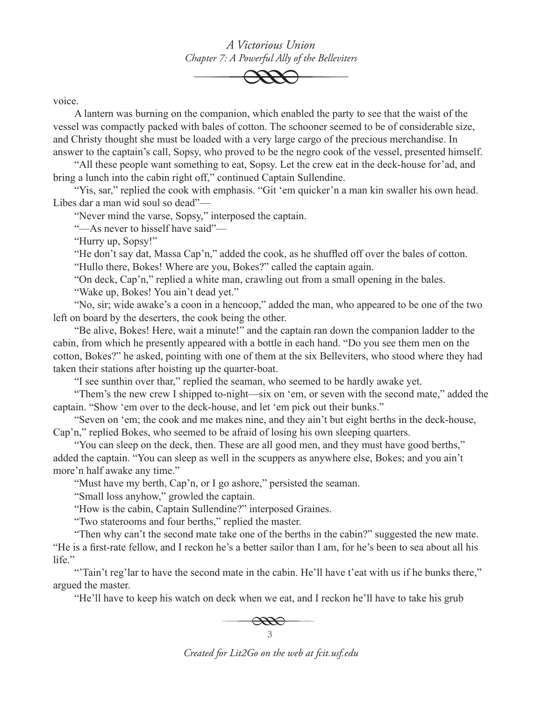*A Victorious Union Chapter 7: A Powerful Ally of the Belleviters*



voice.

A lantern was burning on the companion, which enabled the party to see that the waist of the vessel was compactly packed with bales of cotton. The schooner seemed to be of considerable size, and Christy thought she must be loaded with a very large cargo of the precious merchandise. In answer to the captain's call, Sopsy, who proved to be the negro cook of the vessel, presented himself.

"All these people want something to eat, Sopsy. Let the crew eat in the deck-house for'ad, and bring a lunch into the cabin right off," continued Captain Sullendine.

"Yis, sar," replied the cook with emphasis. "Git 'em quicker'n a man kin swaller his own head. Libes dar a man wid soul so dead"—

"Never mind the varse, Sopsy," interposed the captain.

"—As never to hisself have said"—

"Hurry up, Sopsy!"

"He don't say dat, Massa Cap'n," added the cook, as he shuffled off over the bales of cotton. "Hullo there, Bokes! Where are you, Bokes?" called the captain again.

"On deck, Cap'n," replied a white man, crawling out from a small opening in the bales.

"Wake up, Bokes! You ain't dead yet."

"No, sir; wide awake's a coon in a hencoop," added the man, who appeared to be one of the two left on board by the deserters, the cook being the other.

"Be alive, Bokes! Here, wait a minute!" and the captain ran down the companion ladder to the cabin, from which he presently appeared with a bottle in each hand. "Do you see them men on the cotton, Bokes?" he asked, pointing with one of them at the six Belleviters, who stood where they had taken their stations after hoisting up the quarter-boat.

"I see sunthin over thar," replied the seaman, who seemed to be hardly awake yet.

"Them's the new crew I shipped to-night—six on 'em, or seven with the second mate," added the captain. "Show 'em over to the deck-house, and let 'em pick out their bunks."

"Seven on 'em; the cook and me makes nine, and they ain't but eight berths in the deck-house, Cap'n," replied Bokes, who seemed to be afraid of losing his own sleeping quarters.

"You can sleep on the deck, then. These are all good men, and they must have good berths," added the captain. "You can sleep as well in the scuppers as anywhere else, Bokes; and you ain't more'n half awake any time."

"Must have my berth, Cap'n, or I go ashore," persisted the seaman.

"Small loss anyhow," growled the captain.

"How is the cabin, Captain Sullendine?" interposed Graines.

"Two staterooms and four berths," replied the master.

"Then why can't the second mate take one of the berths in the cabin?" suggested the new mate. "He is a first-rate fellow, and I reckon he's a better sailor than I am, for he's been to sea about all his life."

"Tain't reg'lar to have the second mate in the cabin. He'll have t'eat with us if he bunks there," argued the master.

"He'll have to keep his watch on deck when we eat, and I reckon he'll have to take his grub



*Created for Lit2Go on the web at fcit.usf.edu*